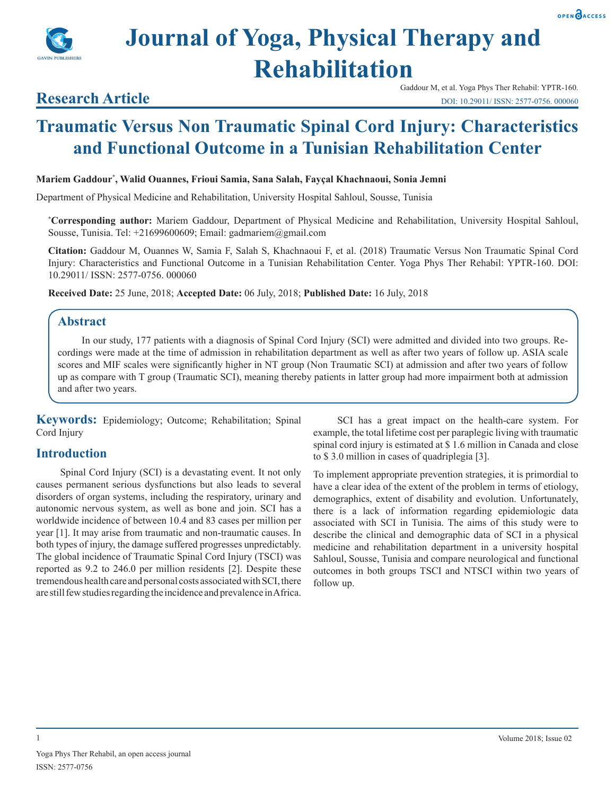



# **Research Article**

# **Traumatic Versus Non Traumatic Spinal Cord Injury: Characteristics and Functional Outcome in a Tunisian Rehabilitation Center**

#### **Mariem Gaddour\* , Walid Ouannes, Frioui Samia, Sana Salah, Fayçal Khachnaoui, Sonia Jemni**

Department of Physical Medicine and Rehabilitation, University Hospital Sahloul, Sousse, Tunisia

**\* Corresponding author:** Mariem Gaddour, Department of Physical Medicine and Rehabilitation, University Hospital Sahloul, Sousse, Tunisia. Tel: +21699600609; Email: gadmariem@gmail.com

**Citation:** Gaddour M, Ouannes W, Samia F, Salah S, Khachnaoui F, et al. (2018) Traumatic Versus Non Traumatic Spinal Cord Injury: Characteristics and Functional Outcome in a Tunisian Rehabilitation Center. Yoga Phys Ther Rehabil: YPTR-160. DOI: 10.29011/ ISSN: 2577-0756. 000060

**Received Date:** 25 June, 2018; **Accepted Date:** 06 July, 2018; **Published Date:** 16 July, 2018

#### **Abstract**

In our study, 177 patients with a diagnosis of Spinal Cord Injury (SCI) were admitted and divided into two groups. Recordings were made at the time of admission in rehabilitation department as well as after two years of follow up. ASIA scale scores and MIF scales were significantly higher in NT group (Non Traumatic SCI) at admission and after two years of follow up as compare with T group (Traumatic SCI), meaning thereby patients in latter group had more impairment both at admission and after two years.

**Keywords:** Epidemiology; Outcome; Rehabilitation; Spinal Cord Injury

## **Introduction**

Spinal Cord Injury (SCI) is a devastating event. It not only causes permanent serious dysfunctions but also leads to several disorders of organ systems, including the respiratory, urinary and autonomic nervous system, as well as bone and join. SCI has a worldwide incidence of between 10.4 and 83 cases per million per year [1]. It may arise from traumatic and non-traumatic causes. In both types of injury, the damage suffered progresses unpredictably. The global incidence of Traumatic Spinal Cord Injury (TSCI) was reported as 9.2 to 246.0 per million residents [2]. Despite these tremendous health care and personal costs associated with SCI, there are still few studies regarding the incidence and prevalence in Africa.

SCI has a great impact on the health-care system. For example, the total lifetime cost per paraplegic living with traumatic spinal cord injury is estimated at \$ 1.6 million in Canada and close to \$ 3.0 million in cases of quadriplegia [3].

To implement appropriate prevention strategies, it is primordial to have a clear idea of the extent of the problem in terms of etiology, demographics, extent of disability and evolution. Unfortunately, there is a lack of information regarding epidemiologic data associated with SCI in Tunisia. The aims of this study were to describe the clinical and demographic data of SCI in a physical medicine and rehabilitation department in a university hospital Sahloul, Sousse, Tunisia and compare neurological and functional outcomes in both groups TSCI and NTSCI within two years of follow up.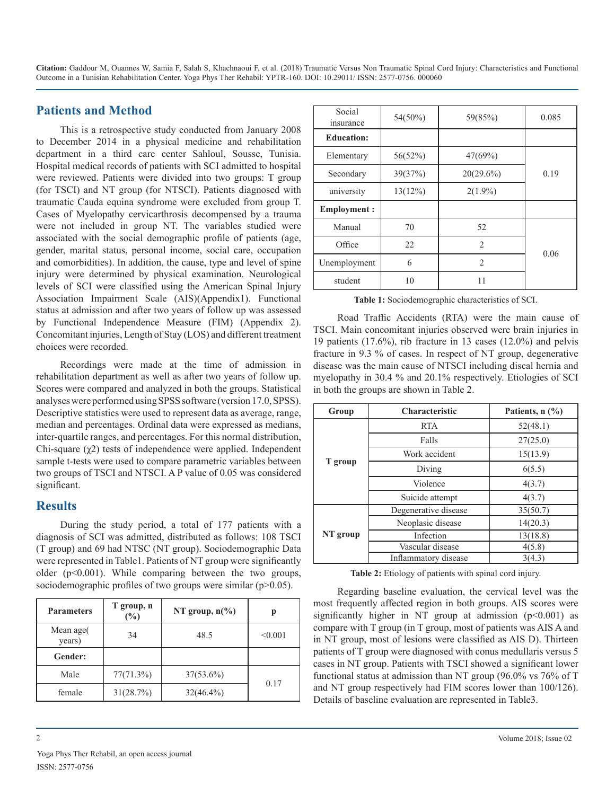#### **Patients and Method**

This is a retrospective study conducted from January 2008 to December 2014 in a physical medicine and rehabilitation department in a third care center Sahloul, Sousse, Tunisia. Hospital medical records of patients with SCI admitted to hospital were reviewed. Patients were divided into two groups: T group (for TSCI) and NT group (for NTSCI). Patients diagnosed with traumatic Cauda equina syndrome were excluded from group T. Cases of Myelopathy cervicarthrosis decompensed by a trauma were not included in group NT. The variables studied were associated with the social demographic profile of patients (age, gender, marital status, personal income, social care, occupation and comorbidities). In addition, the cause, type and level of spine injury were determined by physical examination. Neurological levels of SCI were classified using the American Spinal Injury Association Impairment Scale (AIS)(Appendix1). Functional status at admission and after two years of follow up was assessed by Functional Independence Measure (FIM) (Appendix 2). Concomitant injuries, Length of Stay (LOS) and different treatment choices were recorded.

Recordings were made at the time of admission in rehabilitation department as well as after two years of follow up. Scores were compared and analyzed in both the groups. Statistical analyses were performed using SPSS software (version 17.0, SPSS). Descriptive statistics were used to represent data as average, range, median and percentages. Ordinal data were expressed as medians, inter-quartile ranges, and percentages. For this normal distribution, Chi-square (χ2) tests of independence were applied. Independent sample t-tests were used to compare parametric variables between two groups of TSCI and NTSCI. A P value of 0.05 was considered significant.

## **Results**

During the study period, a total of 177 patients with a diagnosis of SCI was admitted, distributed as follows: 108 TSCI (T group) and 69 had NTSC (NT group). Sociodemographic Data were represented in Table1. Patients of NT group were significantly older (p<0.001). While comparing between the two groups, sociodemographic profiles of two groups were similar  $(p>0.05)$ .

| <b>Parameters</b>   | T group, n<br>(%) | NT group, $n\frac{6}{6}$ |         |
|---------------------|-------------------|--------------------------|---------|
| Mean age(<br>years) | 34                | 48.5                     | < 0.001 |
| Gender:             |                   |                          |         |
| Male                | 77(71.3%)         | $37(53.6\%)$             |         |
| female              | 31(28.7%)         | $32(46.4\%)$             | 0.17    |

| Social<br>insurance   | 54(50%) | 59(85%)                       | 0.085 |  |
|-----------------------|---------|-------------------------------|-------|--|
| <b>Education:</b>     |         |                               |       |  |
| Elementary            | 56(52%) | 47(69%)                       |       |  |
| Secondary             | 39(37%) | $20(29.6\%)$                  | 0.19  |  |
| 13(12%)<br>university |         | $2(1.9\%)$                    |       |  |
| <b>Employment:</b>    |         |                               |       |  |
| Manual                | 70      | 52                            |       |  |
| Office                | 22      | $\mathfrak{D}$                |       |  |
| Unemployment          | 6       | $\mathfrak{D}_{\mathfrak{p}}$ | 0.06  |  |
| student               | 10      | 11                            |       |  |

**Table 1:** Sociodemographic characteristics of SCI.

Road Traffic Accidents (RTA) were the main cause of TSCI. Main concomitant injuries observed were brain injuries in 19 patients (17.6%), rib fracture in 13 cases (12.0%) and pelvis fracture in 9.3 % of cases. In respect of NT group, degenerative disease was the main cause of NTSCI including discal hernia and myelopathy in 30.4 % and 20.1% respectively. Etiologies of SCI in both the groups are shown in Table 2.

| Group    | <b>Characteristic</b> | Patients, n (%)                                                                                |
|----------|-----------------------|------------------------------------------------------------------------------------------------|
|          | <b>RTA</b>            | 52(48.1)                                                                                       |
|          | Falls                 | 27(25.0)                                                                                       |
|          | Work accident         | 15(13.9)<br>6(5.5)<br>4(3.7)<br>4(3.7)<br>35(50.7)<br>14(20.3)<br>13(18.8)<br>4(5.8)<br>3(4.3) |
| T group  | Diving                |                                                                                                |
|          | Violence              |                                                                                                |
|          | Suicide attempt       |                                                                                                |
|          | Degenerative disease  |                                                                                                |
|          | Neoplasic disease     |                                                                                                |
| NT group | Infection             |                                                                                                |
|          | Vascular disease      |                                                                                                |
|          | Inflammatory disease  |                                                                                                |

**Table 2:** Etiology of patients with spinal cord injury.

Regarding baseline evaluation, the cervical level was the most frequently affected region in both groups. AIS scores were significantly higher in NT group at admission  $(p<0.001)$  as compare with T group (in T group, most of patients was AIS A and in NT group, most of lesions were classified as AIS D). Thirteen patients of T group were diagnosed with conus medullaris versus 5 cases in NT group. Patients with TSCI showed a significant lower functional status at admission than NT group (96.0% vs 76% of T and NT group respectively had FIM scores lower than 100/126). Details of baseline evaluation are represented in Table3.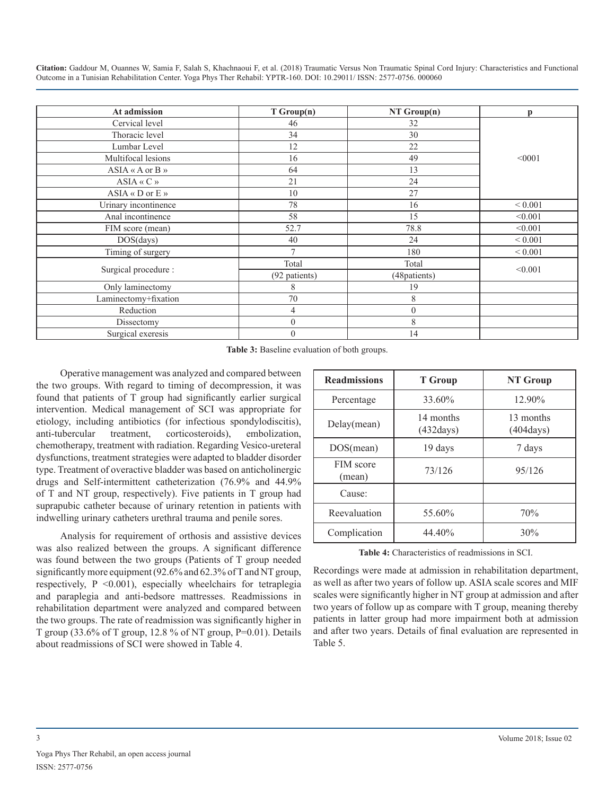| At admission                  | T Group(n)    | $NT$ Group(n)    | p           |
|-------------------------------|---------------|------------------|-------------|
| Cervical level                | 46            | 32               |             |
| Thoracic level                | 34            | 30               |             |
|                               |               |                  |             |
| Lumbar Level                  | 12            | 22               |             |
| Multifocal lesions            | 16            | 49               | < 0001      |
| $ASIA \ll A$ or $B \gg$       | 64            | 13               |             |
| $ASIA \ll C$ »                | 21            | 24               |             |
| $ASIA \triangleleft D$ or E » | 10            | 27               |             |
| Urinary incontinence          | 78            | 16               | ${}< 0.001$ |
| Anal incontinence             | 58            | 15               | < 0.001     |
| FIM score (mean)              | 52.7          | 78.8             | < 0.001     |
| $DOS$ (days)                  | 40            | 24               | ${}< 0.001$ |
| Timing of surgery             | $\mathcal{I}$ | 180              | ${}< 0.001$ |
|                               | Total         | Total            |             |
| Surgical procedure :          | (92 patients) | (48patients)     | < 0.001     |
| Only laminectomy              | 8             | 19               |             |
| Laminectomy+fixation          | 70            | 8                |             |
| Reduction                     | 4             | $\boldsymbol{0}$ |             |
| Dissectomy                    | $\mathbf{0}$  | 8                |             |
| Surgical exeresis             | $\mathbf{0}$  | 14               |             |

**Table 3:** Baseline evaluation of both groups.

Operative management was analyzed and compared between the two groups. With regard to timing of decompression, it was found that patients of T group had significantly earlier surgical intervention. Medical management of SCI was appropriate for etiology, including antibiotics (for infectious spondylodiscitis), anti-tubercular treatment, corticosteroids), embolization, chemotherapy, treatment with radiation. Regarding Vesico-ureteral dysfunctions, treatment strategies were adapted to bladder disorder type. Treatment of overactive bladder was based on anticholinergic drugs and [Self-intermittent](https://www.ncbi.nlm.nih.gov/pubmed/24951384) catheterization (76.9% and 44.9% of T and NT group, respectively). Five patients in T group had suprapubic catheter because of urinary retention in patients with indwelling urinary catheters urethral trauma and penile sores.

Analysis for requirement of orthosis and assistive devices was also realized between the groups. A significant difference was found between the two groups (Patients of T group needed significantly more equipment (92.6% and 62.3% of T and NT group, respectively, P <0.001), especially wheelchairs for tetraplegia and paraplegia and anti-bedsore mattresses. Readmissions in rehabilitation department were analyzed and compared between the two groups. The rate of readmission was significantly higher in T group (33.6% of T group, 12.8% of NT group,  $P=0.01$ ). Details about readmissions of SCI were showed in Table 4.

| <b>Readmissions</b> | <b>T</b> Group                   | NT Group                         |
|---------------------|----------------------------------|----------------------------------|
| Percentage          | 33.60%                           | 12.90%                           |
| Delay(mean)         | 14 months<br>$(432 \text{days})$ | 13 months<br>$(404 \text{days})$ |
| DOS(mean)           | 19 days                          | 7 days                           |
| FIM score<br>(mean) | 73/126                           | 95/126                           |
| Cause:              |                                  |                                  |
| Reevaluation        | 55.60%                           | 70%                              |
| Complication        | 44.40%                           | 30%                              |

**Table 4:** Characteristics of readmissions in SCI.

Recordings were made at admission in rehabilitation department, as well as after two years of follow up. ASIA scale scores and MIF scales were significantly higher in NT group at admission and after two years of follow up as compare with T group, meaning thereby patients in latter group had more impairment both at admission and after two years. Details of final evaluation are represented in Table 5.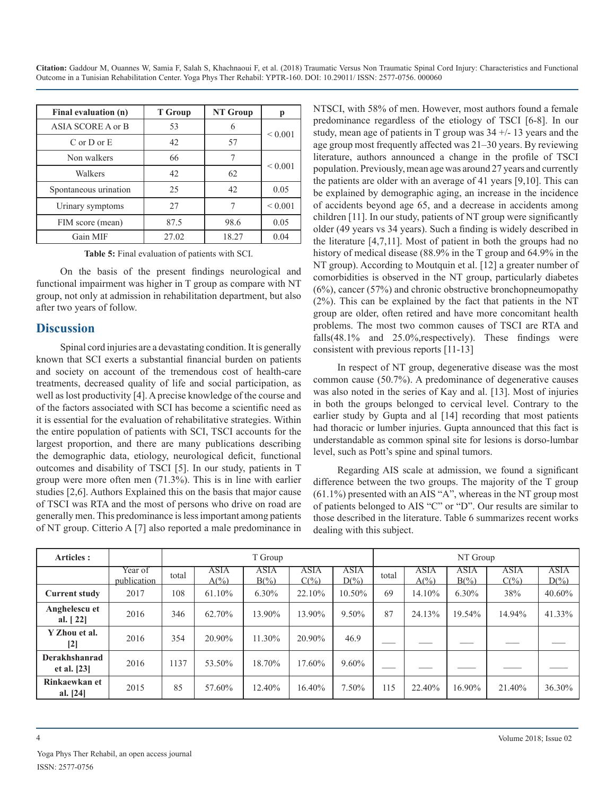| Final evaluation (n)  | <b>T</b> Group | <b>NT Group</b> | р            |
|-----------------------|----------------|-----------------|--------------|
| ASIA SCORE A or B     | 53             | 6               |              |
| $C$ or $D$ or $E$     | 42             | 57              | ${}< 0.001$  |
| Non walkers           | 66             | 7               |              |
| Walkers               | 42             | 62              | ${}_{0.001}$ |
| Spontaneous urination | 25             | 42              | 0.05         |
| Urinary symptoms      | 27             | 7               | ${}< 0.001$  |
| FIM score (mean)      | 87.5           | 98.6            | 0.05         |
| Gain MIF              | 27.02          | 18.27           | 0.04         |

**Table 5:** Final evaluation of patients with SCI.

On the basis of the present findings neurological and functional impairment was higher in T group as compare with NT group, not only at admission in rehabilitation department, but also after two years of follow.

#### **Discussion**

Spinal cord injuries are a devastating condition. It is generally known that SCI exerts a substantial financial burden on patients and society on account of the tremendous cost of health-care treatments, decreased quality of life and social participation, as well as lost productivity [4]. A precise knowledge of the course and of the factors associated with SCI has become a scientific need as it is essential for the evaluation of rehabilitative strategies. Within the entire population of patients with SCI, TSCI accounts for the largest proportion, and there are many publications describing the demographic data, etiology, neurological deficit, functional outcomes and disability of TSCI [5]. In our study, patients in T group were more often men (71.3%). This is in line with earlier studies [2,6]. Authors Explained this on the basis that major cause of TSCI was RTA and the most of persons who drive on road are generally men. This predominance is less important among patients of NT group. Citterio A [7] also reported a male predominance in

NTSCI, with 58% of men. However, most authors found a female predominance regardless of the etiology of TSCI [6-8]. In our study, mean age of patients in T group was  $34 +1$ - 13 years and the age group most frequently affected was 21–30 years. By reviewing literature, authors announced a change in the profile of TSCI population. Previously, mean age was around 27 years and currently the patients are older with an average of 41 years [9,10]. This can be explained by demographic aging, an increase in the incidence of accidents beyond age 65, and a decrease in accidents among children [11]. In our study, patients of NT group were significantly older (49 years vs 34 years). Such a finding is widely described in the literature [4,7,11]. Most of patient in both the groups had no history of medical disease (88.9% in the T group and 64.9% in the NT group). According to Moutquin et al. [12] a greater number of comorbidities is observed in the NT group, particularly diabetes (6%), cancer (57%) and chronic obstructive bronchopneumopathy (2%). This can be explained by the fact that patients in the NT group are older, often retired and have more concomitant health problems. The most two common causes of TSCI are RTA and falls(48.1% and 25.0%, respectively). These findings were consistent with previous reports [11-13]

In respect of NT group, degenerative disease was the most common cause (50.7%). A predominance of degenerative causes was also noted in the series of Kay and al. [13]. Most of injuries in both the groups belonged to cervical level. Contrary to the earlier study by Gupta and al [14] recording that most patients had thoracic or lumber injuries. Gupta announced that this fact is understandable as common spinal site for lesions is dorso-lumbar level, such as Pott's spine and spinal tumors.

Regarding AIS scale at admission, we found a significant difference between the two groups. The majority of the T group (61.1%) presented with an AIS "A", whereas in the NT group most of patients belonged to AIS "C" or "D". Our results are similar to those described in the literature. Table 6 summarizes recent works dealing with this subject.

| Articles :                     |                        | T Group |                                |                 |                 |                        |       |                         | NT Group        |                 |                        |
|--------------------------------|------------------------|---------|--------------------------------|-----------------|-----------------|------------------------|-------|-------------------------|-----------------|-----------------|------------------------|
|                                | Year of<br>publication | total   | <b>ASIA</b><br>$A\binom{0}{0}$ | ASIA<br>$B(\%)$ | ASIA<br>$C(\%)$ | <b>ASIA</b><br>$D(\%)$ | total | ASIA<br>$A\binom{0}{0}$ | ASIA<br>$B(\%)$ | ASIA<br>$C(\%)$ | <b>ASIA</b><br>$D(\%)$ |
| <b>Current study</b>           | 2017                   | 108     | 61.10%                         | $6.30\%$        | 22.10%          | 10.50%                 | 69    | 14.10%                  | 6.30%           | 38%             | 40.60%                 |
| Anghelescu et<br>al. $[22]$    | 2016                   | 346     | 62.70%                         | 13.90%          | 13.90%          | $9.50\%$               | 87    | 24.13%                  | 19.54%          | 14.94%          | 41.33%                 |
| Y Zhou et al.<br>$[2]$         | 2016                   | 354     | 20.90%                         | 11.30%          | 20.90%          | 46.9                   |       |                         |                 |                 |                        |
| Derakhshanrad<br>et al. $[23]$ | 2016                   | 137     | 53.50%                         | 18.70%          | 17.60%          | $9.60\%$               |       |                         |                 |                 |                        |
| Rinkaewkan et<br>al. $[24]$    | 2015                   | 85      | 57.60%                         | 12.40%          | 16.40%          | 7.50%                  | 115   | 22.40%                  | 16.90%          | 21.40%          | 36.30%                 |

Yoga Phys Ther Rehabil, an open access journal ISSN: 2577-0756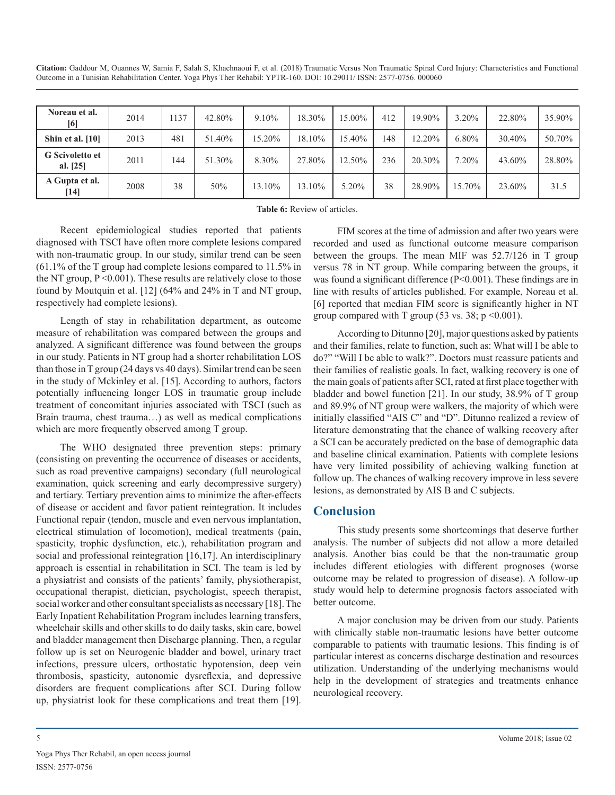| Noreau et al.<br>[6]               | 2014 | 137 | 42.80% | 9.10%  | 18.30% | 15.00% | 412 | 19.90% | $3.20\%$ | 22.80% | 35.90% |
|------------------------------------|------|-----|--------|--------|--------|--------|-----|--------|----------|--------|--------|
| Shin et al. [10]                   | 2013 | 481 | 51.40% | 15.20% | 18.10% | 15.40% | 148 | 12.20% | $6.80\%$ | 30.40% | 50.70% |
| <b>G</b> Scivoletto et<br>al. [25] | 2011 | 144 | 51.30% | 8.30%  | 27.80% | 12.50% | 236 | 20.30% | 7.20%    | 43.60% | 28.80% |
| A Gupta et al.<br>[14]             | 2008 | 38  | 50%    | 13.10% | 13.10% | 5.20%  | 38  | 28.90% | 15.70%   | 23.60% | 31.5   |

**Table 6:** Review of articles.

Recent epidemiological studies reported that patients diagnosed with TSCI have often more complete lesions compared with non-traumatic group. In our study, similar trend can be seen (61.1% of the T group had complete lesions compared to 11.5% in the NT group,  $P \le 0.001$ ). These results are relatively close to those found by Moutquin et al. [12] (64% and 24% in T and NT group, respectively had complete lesions).

Length of stay in rehabilitation department, as outcome measure of rehabilitation was compared between the groups and analyzed. A significant difference was found between the groups in our study. Patients in NT group had a shorter rehabilitation LOS than those in T group (24 days vs 40 days). Similar trend can be seen in the study of Mckinley et al. [15]. According to authors, factors potentially influencing longer LOS in traumatic group include treatment of concomitant injuries associated with TSCI (such as Brain trauma, chest trauma…) as well as medical complications which are more frequently observed among T group.

The WHO designated three prevention steps: primary (consisting on preventing the occurrence of diseases or accidents, such as road preventive campaigns) secondary (full neurological examination, quick screening and early decompressive surgery) and tertiary. Tertiary prevention aims to minimize the after-effects of disease or accident and favor patient reintegration. It includes Functional repair (tendon, muscle and even nervous implantation, electrical stimulation of locomotion), medical treatments (pain, spasticity, trophic dysfunction, etc.), rehabilitation program and social and professional reintegration [16,17]. An interdisciplinary approach is essential in rehabilitation in SCI. The team is led by a physiatrist and consists of the patients' family, physiotherapist, occupational therapist, dietician, psychologist, speech therapist, social worker and other consultant specialists as necessary [18]. The Early Inpatient Rehabilitation Program includes learning transfers, wheelchair skills and other skills to do daily tasks, skin care, bowel and bladder management then Discharge planning. Then, a regular follow up is set on Neurogenic bladder and bowel, urinary tract infections, pressure ulcers, orthostatic hypotension, deep vein thrombosis, spasticity, autonomic dysreflexia, and depressive disorders are frequent complications after SCI. During follow up, physiatrist look for these complications and treat them [19].

FIM scores at the time of admission and after two years were recorded and used as functional outcome measure comparison between the groups. The mean MIF was 52.7/126 in T group versus 78 in NT group. While comparing between the groups, it was found a significant difference (P<0.001). These findings are in line with results of articles published. For example, Noreau et al. [6] reported that median FIM score is significantly higher in NT group compared with T group (53 vs. 38;  $p \le 0.001$ ).

According to Ditunno [20], major questions asked by patients and their families, relate to function, such as: What will I be able to do?" "Will I be able to walk?". Doctors must reassure patients and their families of realistic goals. In fact, walking recovery is one of the main goals of patients after SCI, rated at first place together with bladder and bowel function [21]. In our study, 38.9% of T group and 89.9% of NT group were walkers, the majority of which were initially classified "AIS C" and "D". Ditunno realized a review of literature demonstrating that the chance of walking recovery after a SCI can be accurately predicted on the base of demographic data and baseline clinical examination. Patients with complete lesions have very limited possibility of achieving walking function at follow up. The chances of walking recovery improve in less severe lesions, as demonstrated by AIS B and C subjects.

## **Conclusion**

This study presents some shortcomings that deserve further analysis. The number of subjects did not allow a more detailed analysis. Another bias could be that the non-traumatic group includes different etiologies with different prognoses (worse outcome may be related to progression of disease). A follow-up study would help to determine prognosis factors associated with better outcome.

A major conclusion may be driven from our study. Patients with clinically stable non-traumatic lesions have better outcome comparable to patients with traumatic lesions. This finding is of particular interest as concerns discharge destination and resources utilization. Understanding of the underlying mechanisms would help in the development of strategies and treatments enhance neurological recovery.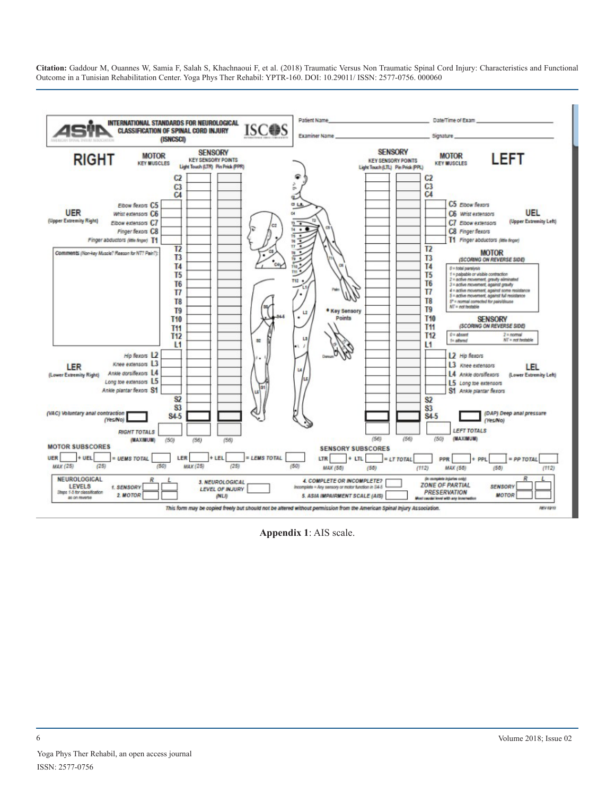

**Appendix 1**: AIS scale.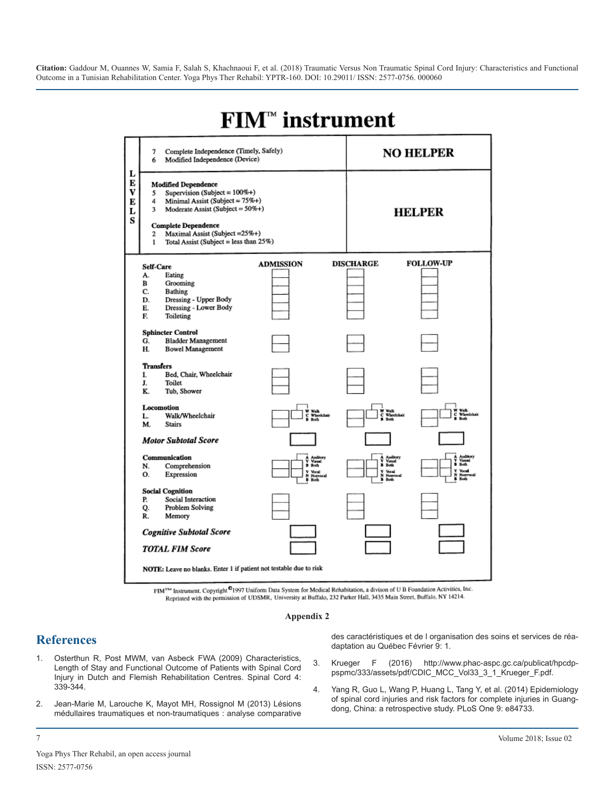

# **FIM<sup>™</sup>** instrument

FIM™ Instrument. Copyright<sup>©</sup>1997 Uniform Data System for Medical Rehabitation, a divison of U B Foundation Activities, Inc. Reprinted with the permission of UDSMR, University at Buffalo, 232 Parker Hall, 3435 Main Street, Buffalo, NY 14214.

#### **Appendix 2**

## **References**

- 1. [Osterthun R, Post MWM, van Asbeck FWA \(2009\) Characteristics,](https://www.ncbi.nlm.nih.gov/pubmed/19002154)  [Length of Stay and Functional Outcome of Patients with Spinal Cord](https://www.ncbi.nlm.nih.gov/pubmed/19002154)  [Injury in Dutch and Flemish Rehabilitation Centres. Spinal Cord 4:](https://www.ncbi.nlm.nih.gov/pubmed/19002154) [339-344](https://www.ncbi.nlm.nih.gov/pubmed/19002154).
- 2. Jean-Marie M, Larouche K, Mayot MH, Rossignol M (2013) Lésions médullaires traumatiques et non-traumatiques : analyse comparative

des caractéristiques et de l organisation des soins et services de réadaptation au Québec Février 9: 1.

- 3. Krueger F (2016) http://www.phac-aspc.gc.ca/publicat/hpcdppspmc/333/assets/pdf/CDIC\_MCC\_Vol33\_3\_1\_Krueger\_F.pdf.
- 4. [Yang R, Guo L, Wang P, Huang L, Tang Y, et al. \(2014\) Epidemiology](http://journals.plos.org/plosone/article?id=10.1371/journal.pone.0084733)  [of spinal cord injuries and risk factors for complete injuries in Guang](http://journals.plos.org/plosone/article?id=10.1371/journal.pone.0084733)[dong, China: a retrospective study. PLoS One 9: e84733.](http://journals.plos.org/plosone/article?id=10.1371/journal.pone.0084733)